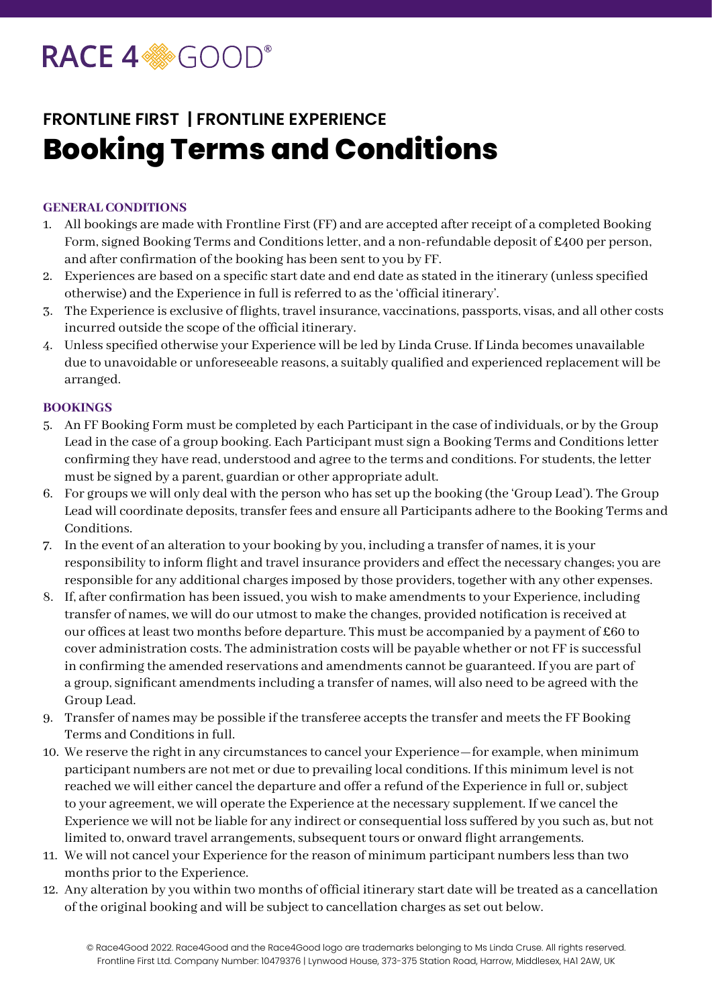### **FRONTLINE FIRST | FRONTLINE EXPERIENCE Booking Terms and Conditions**

### **GENERAL CONDITIONS**

- 1. All bookings are made with Frontline First (FF) and are accepted after receipt of a completed Booking Form, signed Booking Terms and Conditions letter, and a non-refundable deposit of £400 per person, and after confirmation of the booking has been sent to you by FF.
- 2. Experiences are based on a specific start date and end date as stated in the itinerary (unless specified otherwise) and the Experience in full is referred to as the 'official itinerary'.
- 3. The Experience is exclusive of flights, travel insurance, vaccinations, passports, visas, and all other costs incurred outside the scope of the official itinerary.
- 4. Unless specified otherwise your Experience will be led by Linda Cruse. If Linda becomes unavailable due to unavoidable or unforeseeable reasons, a suitably qualified and experienced replacement will be arranged.

#### **BOOKINGS**

- 5. An FF Booking Form must be completed by each Participant in the case of individuals, or by the Group Lead in the case of a group booking. Each Participant must sign a Booking Terms and Conditions letter confirming they have read, understood and agree to the terms and conditions. For students, the letter must be signed by a parent, guardian or other appropriate adult.
- 6. For groups we will only deal with the person who has set up the booking (the 'Group Lead'). The Group Lead will coordinate deposits, transfer fees and ensure all Participants adhere to the Booking Terms and Conditions.
- 7. In the event of an alteration to your booking by you, including a transfer of names, it is your responsibility to inform flight and travel insurance providers and effect the necessary changes; you are responsible for any additional charges imposed by those providers, together with any other expenses.
- 8. If, after confirmation has been issued, you wish to make amendments to your Experience, including transfer of names, we will do our utmost to make the changes, provided notification is received at our offices at least two months before departure. This must be accompanied by a payment of £60 to cover administration costs. The administration costs will be payable whether or not FF is successful in confirming the amended reservations and amendments cannot be guaranteed. If you are part of a group, significant amendments including a transfer of names, will also need to be agreed with the Group Lead.
- 9. Transfer of names may be possible if the transferee accepts the transfer and meets the FF Booking Terms and Conditions in full.
- 10. We reserve the right in any circumstances to cancel your Experience—for example, when minimum participant numbers are not met or due to prevailing local conditions. If this minimum level is not reached we will either cancel the departure and offer a refund of the Experience in full or, subject to your agreement, we will operate the Experience at the necessary supplement. If we cancel the Experience we will not be liable for any indirect or consequential loss suffered by you such as, but not limited to, onward travel arrangements, subsequent tours or onward flight arrangements.
- 11. We will not cancel your Experience for the reason of minimum participant numbers less than two months prior to the Experience.
- 12. Any alteration by you within two months of official itinerary start date will be treated as a cancellation of the original booking and will be subject to cancellation charges as set out below.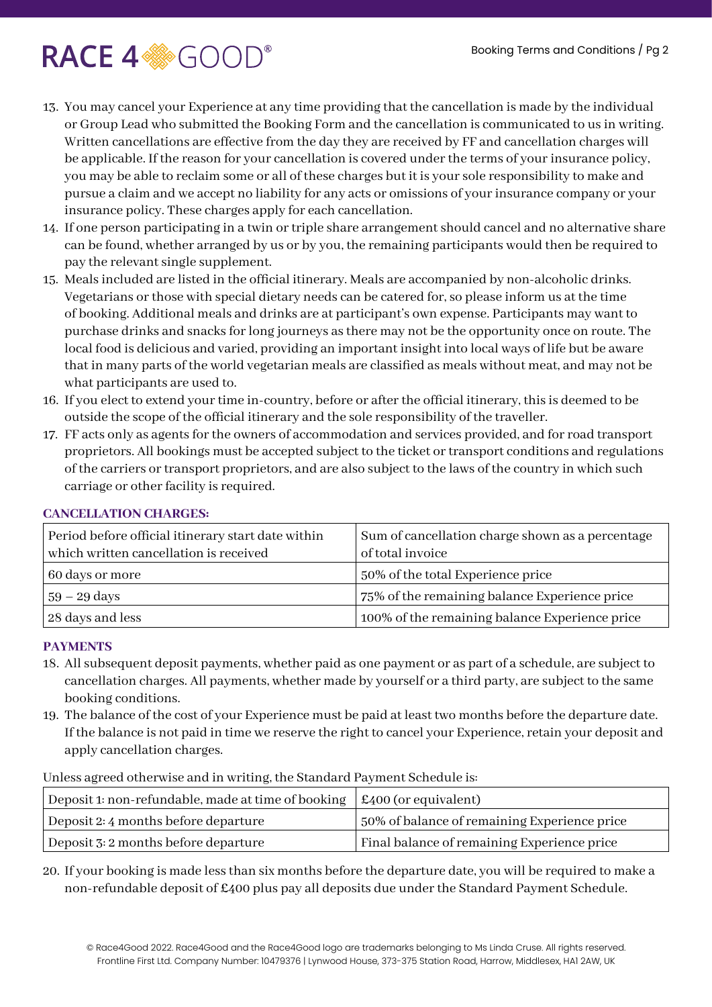- 13. You may cancel your Experience at any time providing that the cancellation is made by the individual or Group Lead who submitted the Booking Form and the cancellation is communicated to us in writing. Written cancellations are effective from the day they are received by FF and cancellation charges will be applicable. If the reason for your cancellation is covered under the terms of your insurance policy, you may be able to reclaim some or all of these charges but it is your sole responsibility to make and pursue a claim and we accept no liability for any acts or omissions of your insurance company or your insurance policy. These charges apply for each cancellation.
- 14. If one person participating in a twin or triple share arrangement should cancel and no alternative share can be found, whether arranged by us or by you, the remaining participants would then be required to pay the relevant single supplement.
- 15. Meals included are listed in the official itinerary. Meals are accompanied by non-alcoholic drinks. Vegetarians or those with special dietary needs can be catered for, so please inform us at the time of booking. Additional meals and drinks are at participant's own expense. Participants may want to purchase drinks and snacks for long journeys as there may not be the opportunity once on route. The local food is delicious and varied, providing an important insight into local ways of life but be aware that in many parts of the world vegetarian meals are classified as meals without meat, and may not be what participants are used to.
- 16. If you elect to extend your time in-country, before or after the official itinerary, this is deemed to be outside the scope of the official itinerary and the sole responsibility of the traveller.
- 17. FF acts only as agents for the owners of accommodation and services provided, and for road transport proprietors. All bookings must be accepted subject to the ticket or transport conditions and regulations of the carriers or transport proprietors, and are also subject to the laws of the country in which such carriage or other facility is required.

### **CANCELLATION CHARGES:**

| Period before official itinerary start date within | Sum of cancellation charge shown as a percentage |
|----------------------------------------------------|--------------------------------------------------|
| which written cancellation is received             | of total invoice                                 |
| 60 days or more                                    | 50% of the total Experience price                |
| $59 - 29$ days                                     | 75% of the remaining balance Experience price    |
| 28 days and less                                   | 100% of the remaining balance Experience price   |

### **PAYMENTS**

- 18. All subsequent deposit payments, whether paid as one payment or as part of a schedule, are subject to cancellation charges. All payments, whether made by yourself or a third party, are subject to the same booking conditions.
- 19. The balance of the cost of your Experience must be paid at least two months before the departure date. If the balance is not paid in time we reserve the right to cancel your Experience, retain your deposit and apply cancellation charges.

Unless agreed otherwise and in writing, the Standard Payment Schedule is:

| Deposit 1: non-refundable, made at time of booking $\left  \right.$ £400 (or equivalent) |                                              |
|------------------------------------------------------------------------------------------|----------------------------------------------|
| Deposit 2: 4 months before departure                                                     | 50% of balance of remaining Experience price |
| Deposit 3: 2 months before departure                                                     | Final balance of remaining Experience price  |

20. If your booking is made less than six months before the departure date, you will be required to make a non-refundable deposit of £400 plus pay all deposits due under the Standard Payment Schedule.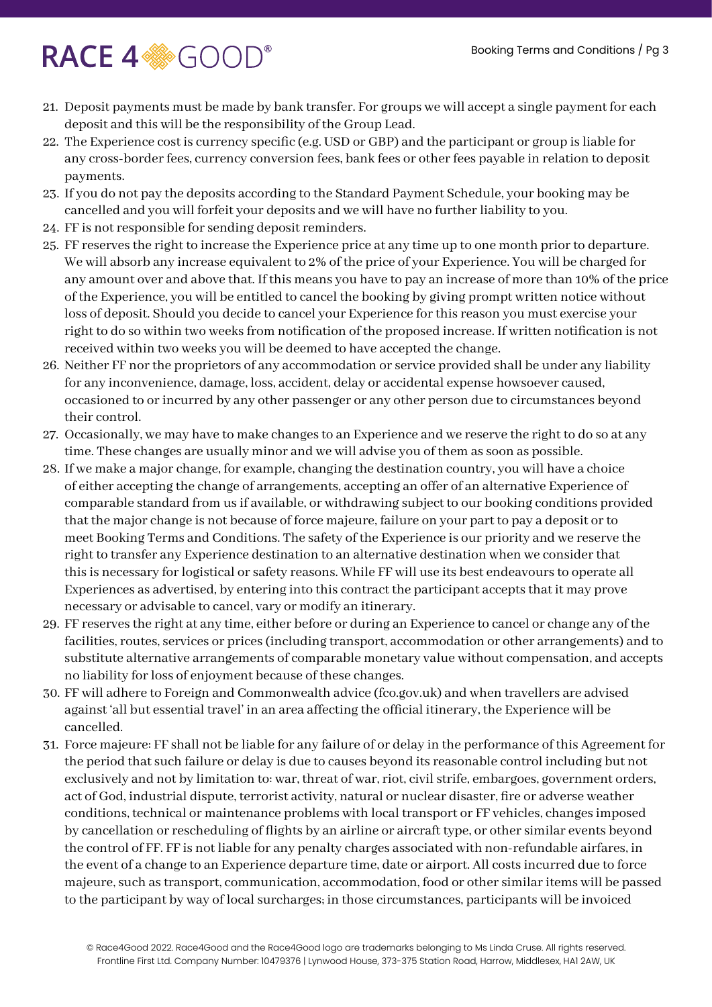- 21. Deposit payments must be made by bank transfer. For groups we will accept a single payment for each deposit and this will be the responsibility of the Group Lead.
- 22. The Experience cost is currency specific (e.g. USD or GBP) and the participant or group is liable for any cross-border fees, currency conversion fees, bank fees or other fees payable in relation to deposit payments.
- 23. If you do not pay the deposits according to the Standard Payment Schedule, your booking may be cancelled and you will forfeit your deposits and we will have no further liability to you.
- 24. FF is not responsible for sending deposit reminders.
- 25. FF reserves the right to increase the Experience price at any time up to one month prior to departure. We will absorb any increase equivalent to 2% of the price of your Experience. You will be charged for any amount over and above that. If this means you have to pay an increase of more than 10% of the price of the Experience, you will be entitled to cancel the booking by giving prompt written notice without loss of deposit. Should you decide to cancel your Experience for this reason you must exercise your right to do so within two weeks from notification of the proposed increase. If written notification is not received within two weeks you will be deemed to have accepted the change.
- 26. Neither FF nor the proprietors of any accommodation or service provided shall be under any liability for any inconvenience, damage, loss, accident, delay or accidental expense howsoever caused, occasioned to or incurred by any other passenger or any other person due to circumstances beyond their control.
- 27. Occasionally, we may have to make changes to an Experience and we reserve the right to do so at any time. These changes are usually minor and we will advise you of them as soon as possible.
- 28. If we make a major change, for example, changing the destination country, you will have a choice of either accepting the change of arrangements, accepting an offer of an alternative Experience of comparable standard from us if available, or withdrawing subject to our booking conditions provided that the major change is not because of force majeure, failure on your part to pay a deposit or to meet Booking Terms and Conditions. The safety of the Experience is our priority and we reserve the right to transfer any Experience destination to an alternative destination when we consider that this is necessary for logistical or safety reasons. While FF will use its best endeavours to operate all Experiences as advertised, by entering into this contract the participant accepts that it may prove necessary or advisable to cancel, vary or modify an itinerary.
- 29. FF reserves the right at any time, either before or during an Experience to cancel or change any of the facilities, routes, services or prices (including transport, accommodation or other arrangements) and to substitute alternative arrangements of comparable monetary value without compensation, and accepts no liability for loss of enjoyment because of these changes.
- 30. FF will adhere to Foreign and Commonwealth advice (fco.gov.uk) and when travellers are advised against 'all but essential travel' in an area affecting the official itinerary, the Experience will be cancelled.
- 31. Force majeure: FF shall not be liable for any failure of or delay in the performance of this Agreement for the period that such failure or delay is due to causes beyond its reasonable control including but not exclusively and not by limitation to: war, threat of war, riot, civil strife, embargoes, government orders, act of God, industrial dispute, terrorist activity, natural or nuclear disaster, fire or adverse weather conditions, technical or maintenance problems with local transport or FF vehicles, changes imposed by cancellation or rescheduling of flights by an airline or aircraft type, or other similar events beyond the control of FF. FF is not liable for any penalty charges associated with non-refundable airfares, in the event of a change to an Experience departure time, date or airport. All costs incurred due to force majeure, such as transport, communication, accommodation, food or other similar items will be passed to the participant by way of local surcharges; in those circumstances, participants will be invoiced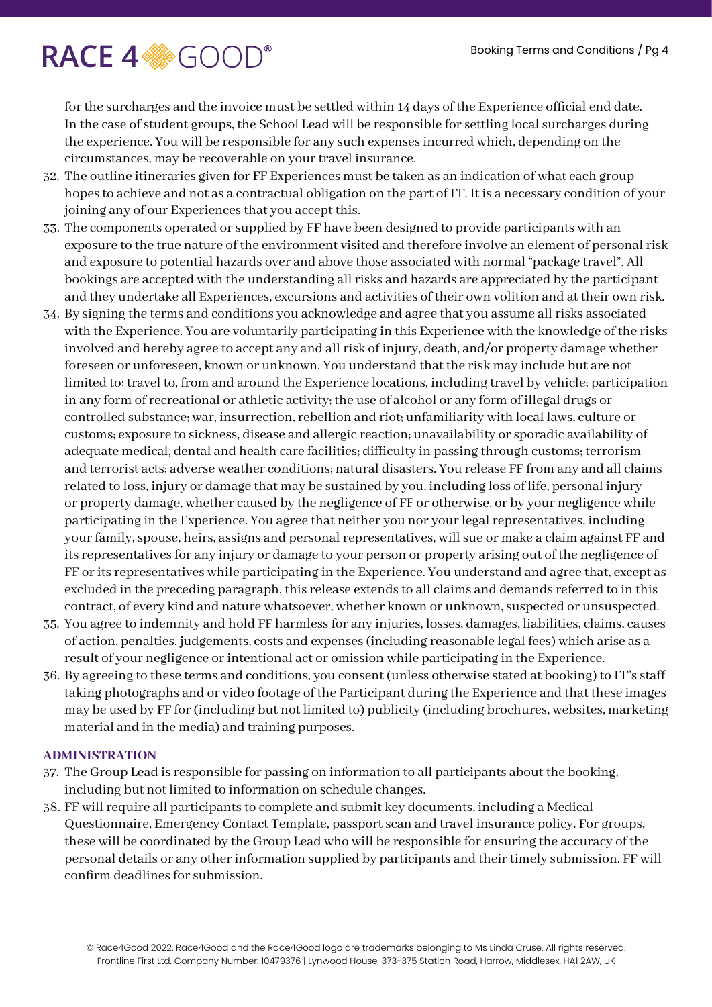for the surcharges and the invoice must be settled within 14 days of the Experience official end date. In the case of student groups, the School Lead will be responsible for settling local surcharges during the experience. You will be responsible for any such expenses incurred which, depending on the circumstances, may be recoverable on your travel insurance.

- 32. The outline itineraries given for FF Experiences must be taken as an indication of what each group hopes to achieve and not as a contractual obligation on the part of FF. It is a necessary condition of your joining any of our Experiences that you accept this.
- 33. The components operated or supplied by FF have been designed to provide participants with an exposure to the true nature of the environment visited and therefore involve an element of personal risk and exposure to potential hazards over and above those associated with normal "package travel". All bookings are accepted with the understanding all risks and hazards are appreciated by the participant and they undertake all Experiences, excursions and activities of their own volition and at their own risk.
- 34. By signing the terms and conditions you acknowledge and agree that you assume all risks associated with the Experience. You are voluntarily participating in this Experience with the knowledge of the risks involved and hereby agree to accept any and all risk of injury, death, and/or property damage whether foreseen or unforeseen, known or unknown. You understand that the risk may include but are not limited to: travel to, from and around the Experience locations, including travel by vehicle; participation in any form of recreational or athletic activity; the use of alcohol or any form of illegal drugs or controlled substance; war, insurrection, rebellion and riot; unfamiliarity with local laws, culture or customs; exposure to sickness, disease and allergic reaction; unavailability or sporadic availability of adequate medical, dental and health care facilities; difficulty in passing through customs; terrorism and terrorist acts; adverse weather conditions; natural disasters. You release FF from any and all claims related to loss, injury or damage that may be sustained by you, including loss of life, personal injury or property damage, whether caused by the negligence of FF or otherwise, or by your negligence while participating in the Experience. You agree that neither you nor your legal representatives, including your family, spouse, heirs, assigns and personal representatives, will sue or make a claim against FF and its representatives for any injury or damage to your person or property arising out of the negligence of FF or its representatives while participating in the Experience. You understand and agree that, except as excluded in the preceding paragraph, this release extends to all claims and demands referred to in this contract, of every kind and nature whatsoever, whether known or unknown, suspected or unsuspected.
- 35. You agree to indemnity and hold FF harmless for any injuries, losses, damages, liabilities, claims, causes of action, penalties, judgements, costs and expenses (including reasonable legal fees) which arise as a result of your negligence or intentional act or omission while participating in the Experience.
- 36. By agreeing to these terms and conditions, you consent (unless otherwise stated at booking) to FF's staff taking photographs and or video footage of the Participant during the Experience and that these images may be used by FF for (including but not limited to) publicity (including brochures, websites, marketing material and in the media) and training purposes.

#### **ADMINISTRATION**

- 37. The Group Lead is responsible for passing on information to all participants about the booking, including but not limited to information on schedule changes.
- 38. FF will require all participants to complete and submit key documents, including a Medical Questionnaire, Emergency Contact Template, passport scan and travel insurance policy. For groups, these will be coordinated by the Group Lead who will be responsible for ensuring the accuracy of the personal details or any other information supplied by participants and their timely submission. FF will confirm deadlines for submission.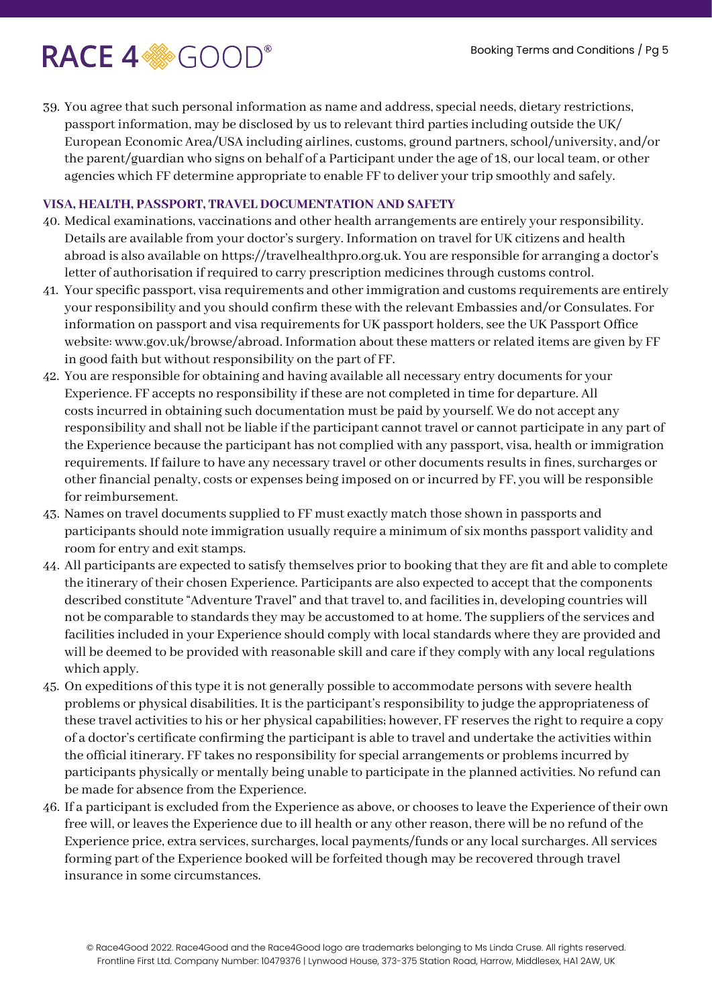39. You agree that such personal information as name and address, special needs, dietary restrictions, passport information, may be disclosed by us to relevant third parties including outside the UK/ European Economic Area/USA including airlines, customs, ground partners, school/university, and/or the parent/guardian who signs on behalf of a Participant under the age of 18, our local team, or other agencies which FF determine appropriate to enable FF to deliver your trip smoothly and safely.

### **VISA, HEALTH, PASSPORT, TRAVEL DOCUMENTATION AND SAFETY**

- 40. Medical examinations, vaccinations and other health arrangements are entirely your responsibility. Details are available from your doctor's surgery. Information on travel for UK citizens and health abroad is also available on https://travelhealthpro.org.uk. You are responsible for arranging a doctor's letter of authorisation if required to carry prescription medicines through customs control.
- 41. Your specific passport, visa requirements and other immigration and customs requirements are entirely your responsibility and you should confirm these with the relevant Embassies and/or Consulates. For information on passport and visa requirements for UK passport holders, see the UK Passport Office website: www.gov.uk/browse/abroad. Information about these matters or related items are given by FF in good faith but without responsibility on the part of FF.
- 42. You are responsible for obtaining and having available all necessary entry documents for your Experience. FF accepts no responsibility if these are not completed in time for departure. All costs incurred in obtaining such documentation must be paid by yourself. We do not accept any responsibility and shall not be liable if the participant cannot travel or cannot participate in any part of the Experience because the participant has not complied with any passport, visa, health or immigration requirements. If failure to have any necessary travel or other documents results in fines, surcharges or other financial penalty, costs or expenses being imposed on or incurred by FF, you will be responsible for reimbursement.
- 43. Names on travel documents supplied to FF must exactly match those shown in passports and participants should note immigration usually require a minimum of six months passport validity and room for entry and exit stamps.
- 44. All participants are expected to satisfy themselves prior to booking that they are fit and able to complete the itinerary of their chosen Experience. Participants are also expected to accept that the components described constitute "Adventure Travel" and that travel to, and facilities in, developing countries will not be comparable to standards they may be accustomed to at home. The suppliers of the services and facilities included in your Experience should comply with local standards where they are provided and will be deemed to be provided with reasonable skill and care if they comply with any local regulations which apply.
- 45. On expeditions of this type it is not generally possible to accommodate persons with severe health problems or physical disabilities. It is the participant's responsibility to judge the appropriateness of these travel activities to his or her physical capabilities; however, FF reserves the right to require a copy of a doctor's certificate confirming the participant is able to travel and undertake the activities within the official itinerary. FF takes no responsibility for special arrangements or problems incurred by participants physically or mentally being unable to participate in the planned activities. No refund can be made for absence from the Experience.
- 46. If a participant is excluded from the Experience as above, or chooses to leave the Experience of their own free will, or leaves the Experience due to ill health or any other reason, there will be no refund of the Experience price, extra services, surcharges, local payments/funds or any local surcharges. All services forming part of the Experience booked will be forfeited though may be recovered through travel insurance in some circumstances.

<sup>©</sup> Race4Good 2022. Race4Good and the Race4Good logo are trademarks belonging to Ms Linda Cruse. All rights reserved. Frontline First Ltd. Company Number: 10479376 | Lynwood House, 373-375 Station Road, Harrow, Middlesex, HA1 2AW, UK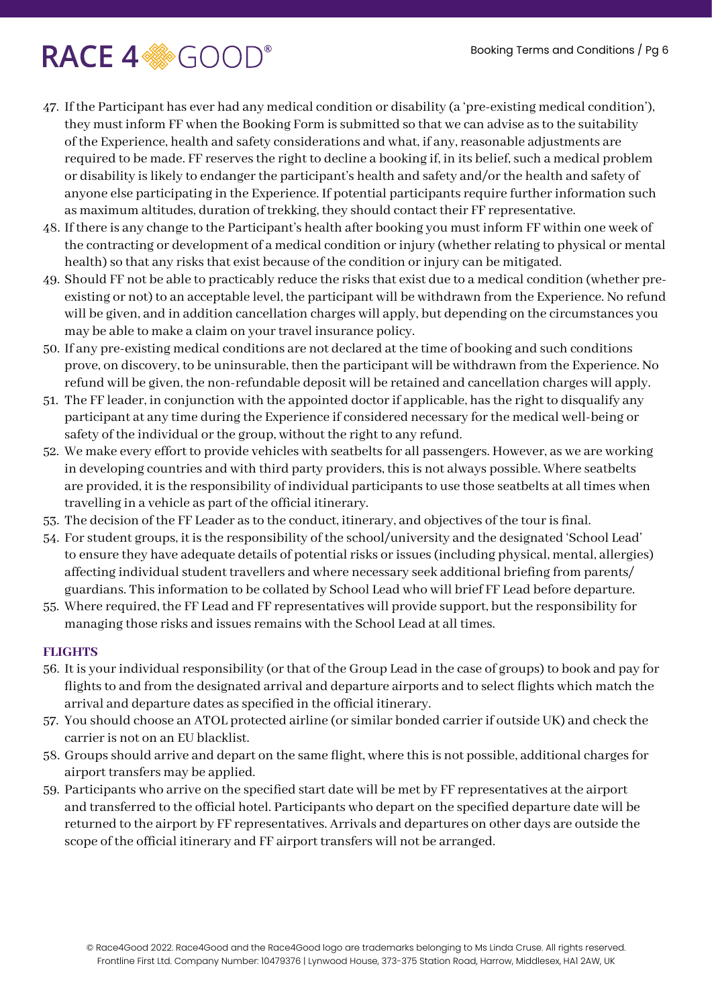- 47. If the Participant has ever had any medical condition or disability (a 'pre-existing medical condition'), they must inform FF when the Booking Form is submitted so that we can advise as to the suitability of the Experience, health and safety considerations and what, if any, reasonable adjustments are required to be made. FF reserves the right to decline a booking if, in its belief, such a medical problem or disability is likely to endanger the participant's health and safety and/or the health and safety of anyone else participating in the Experience. If potential participants require further information such as maximum altitudes, duration of trekking, they should contact their FF representative.
- 48. If there is any change to the Participant's health after booking you must inform FF within one week of the contracting or development of a medical condition or injury (whether relating to physical or mental health) so that any risks that exist because of the condition or injury can be mitigated.
- 49. Should FF not be able to practicably reduce the risks that exist due to a medical condition (whether preexisting or not) to an acceptable level, the participant will be withdrawn from the Experience. No refund will be given, and in addition cancellation charges will apply, but depending on the circumstances you may be able to make a claim on your travel insurance policy.
- 50. If any pre-existing medical conditions are not declared at the time of booking and such conditions prove, on discovery, to be uninsurable, then the participant will be withdrawn from the Experience. No refund will be given, the non-refundable deposit will be retained and cancellation charges will apply.
- 51. The FF leader, in conjunction with the appointed doctor if applicable, has the right to disqualify any participant at any time during the Experience if considered necessary for the medical well-being or safety of the individual or the group, without the right to any refund.
- 52. We make every effort to provide vehicles with seatbelts for all passengers. However, as we are working in developing countries and with third party providers, this is not always possible. Where seatbelts are provided, it is the responsibility of individual participants to use those seatbelts at all times when travelling in a vehicle as part of the official itinerary.
- 53. The decision of the FF Leader as to the conduct, itinerary, and objectives of the tour is final.
- 54. For student groups, it is the responsibility of the school/university and the designated 'School Lead' to ensure they have adequate details of potential risks or issues (including physical, mental, allergies) affecting individual student travellers and where necessary seek additional briefing from parents/ guardians. This information to be collated by School Lead who will brief FF Lead before departure.
- 55. Where required, the FF Lead and FF representatives will provide support, but the responsibility for managing those risks and issues remains with the School Lead at all times.

### **FLIGHTS**

- 56. It is your individual responsibility (or that of the Group Lead in the case of groups) to book and pay for flights to and from the designated arrival and departure airports and to select flights which match the arrival and departure dates as specified in the official itinerary.
- 57. You should choose an ATOL protected airline (or similar bonded carrier if outside UK) and check the carrier is not on an EU blacklist.
- 58. Groups should arrive and depart on the same flight, where this is not possible, additional charges for airport transfers may be applied.
- 59. Participants who arrive on the specified start date will be met by FF representatives at the airport and transferred to the official hotel. Participants who depart on the specified departure date will be returned to the airport by FF representatives. Arrivals and departures on other days are outside the scope of the official itinerary and FF airport transfers will not be arranged.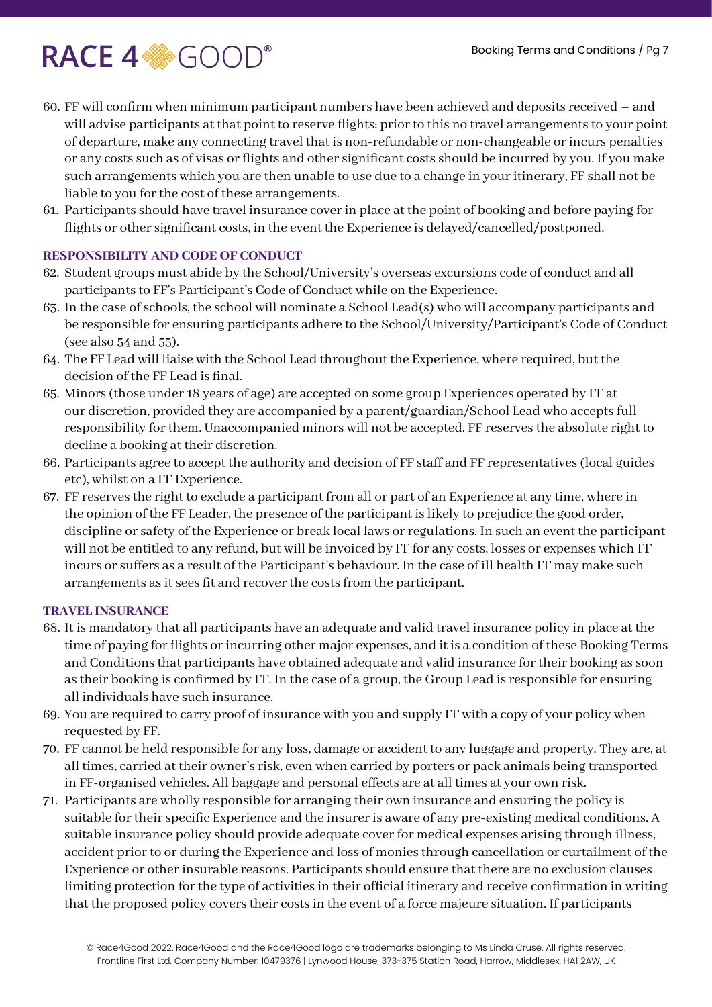- 60. FF will confirm when minimum participant numbers have been achieved and deposits received and will advise participants at that point to reserve flights; prior to this no travel arrangements to your point of departure, make any connecting travel that is non-refundable or non-changeable or incurs penalties or any costs such as of visas or flights and other significant costs should be incurred by you. If you make such arrangements which you are then unable to use due to a change in your itinerary, FF shall not be liable to you for the cost of these arrangements.
- 61. Participants should have travel insurance cover in place at the point of booking and before paying for flights or other significant costs, in the event the Experience is delayed/cancelled/postponed.

### **RESPONSIBILITY AND CODE OF CONDUCT**

- 62. Student groups must abide by the School/University's overseas excursions code of conduct and all participants to FF's Participant's Code of Conduct while on the Experience.
- 63. In the case of schools, the school will nominate a School Lead(s) who will accompany participants and be responsible for ensuring participants adhere to the School/University/Participant's Code of Conduct (see also 54 and 55).
- 64. The FF Lead will liaise with the School Lead throughout the Experience, where required, but the decision of the FF Lead is final.
- 65. Minors (those under 18 years of age) are accepted on some group Experiences operated by FF at our discretion, provided they are accompanied by a parent/guardian/School Lead who accepts full responsibility for them. Unaccompanied minors will not be accepted. FF reserves the absolute right to decline a booking at their discretion.
- 66. Participants agree to accept the authority and decision of FF staff and FF representatives (local guides etc), whilst on a FF Experience.
- 67. FF reserves the right to exclude a participant from all or part of an Experience at any time, where in the opinion of the FF Leader, the presence of the participant is likely to prejudice the good order, discipline or safety of the Experience or break local laws or regulations. In such an event the participant will not be entitled to any refund, but will be invoiced by FF for any costs, losses or expenses which FF incurs or suffers as a result of the Participant's behaviour. In the case of ill health FF may make such arrangements as it sees fit and recover the costs from the participant.

### **TRAVEL INSURANCE**

- 68. It is mandatory that all participants have an adequate and valid travel insurance policy in place at the time of paying for flights or incurring other major expenses, and it is a condition of these Booking Terms and Conditions that participants have obtained adequate and valid insurance for their booking as soon as their booking is confirmed by FF. In the case of a group, the Group Lead is responsible for ensuring all individuals have such insurance.
- 69. You are required to carry proof of insurance with you and supply FF with a copy of your policy when requested by FF.
- 70. FF cannot be held responsible for any loss, damage or accident to any luggage and property. They are, at all times, carried at their owner's risk, even when carried by porters or pack animals being transported in FF-organised vehicles. All baggage and personal effects are at all times at your own risk.
- 71. Participants are wholly responsible for arranging their own insurance and ensuring the policy is suitable for their specific Experience and the insurer is aware of any pre-existing medical conditions. A suitable insurance policy should provide adequate cover for medical expenses arising through illness, accident prior to or during the Experience and loss of monies through cancellation or curtailment of the Experience or other insurable reasons. Participants should ensure that there are no exclusion clauses limiting protection for the type of activities in their official itinerary and receive confirmation in writing that the proposed policy covers their costs in the event of a force majeure situation. If participants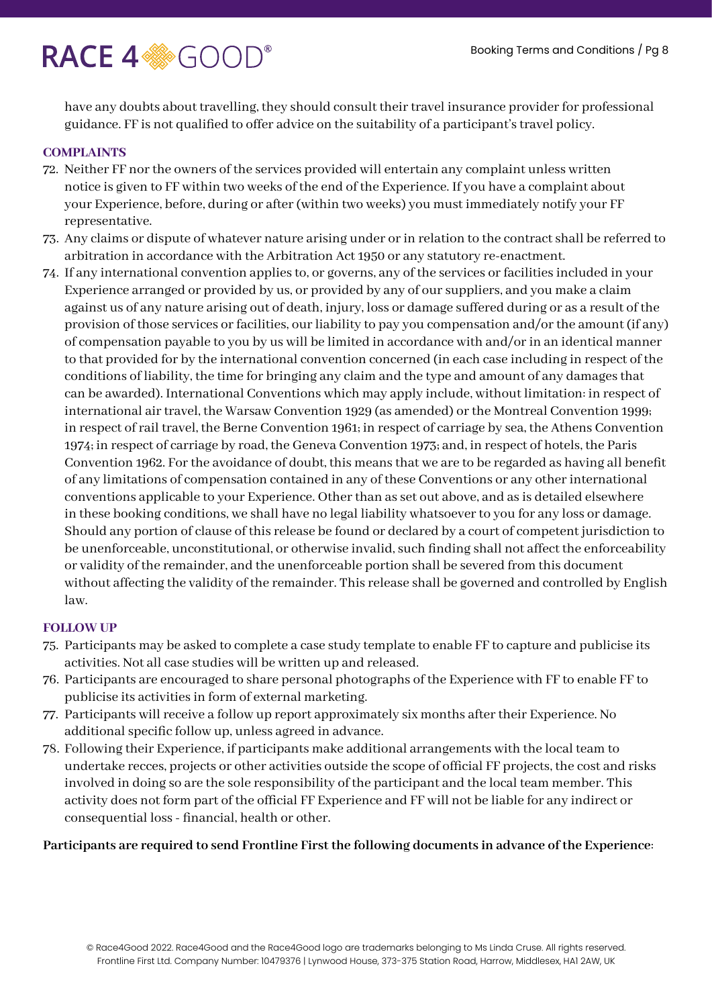have any doubts about travelling, they should consult their travel insurance provider for professional guidance. FF is not qualified to offer advice on the suitability of a participant's travel policy.

#### **COMPLAINTS**

- 72. Neither FF nor the owners of the services provided will entertain any complaint unless written notice is given to FF within two weeks of the end of the Experience. If you have a complaint about your Experience, before, during or after (within two weeks) you must immediately notify your FF representative.
- 73. Any claims or dispute of whatever nature arising under or in relation to the contract shall be referred to arbitration in accordance with the Arbitration Act 1950 or any statutory re-enactment.
- 74. If any international convention applies to, or governs, any of the services or facilities included in your Experience arranged or provided by us, or provided by any of our suppliers, and you make a claim against us of any nature arising out of death, injury, loss or damage suffered during or as a result of the provision of those services or facilities, our liability to pay you compensation and/or the amount (if any) of compensation payable to you by us will be limited in accordance with and/or in an identical manner to that provided for by the international convention concerned (in each case including in respect of the conditions of liability, the time for bringing any claim and the type and amount of any damages that can be awarded). International Conventions which may apply include, without limitation: in respect of international air travel, the Warsaw Convention 1929 (as amended) or the Montreal Convention 1999; in respect of rail travel, the Berne Convention 1961; in respect of carriage by sea, the Athens Convention 1974; in respect of carriage by road, the Geneva Convention 1973; and, in respect of hotels, the Paris Convention 1962. For the avoidance of doubt, this means that we are to be regarded as having all benefit of any limitations of compensation contained in any of these Conventions or any other international conventions applicable to your Experience. Other than as set out above, and as is detailed elsewhere in these booking conditions, we shall have no legal liability whatsoever to you for any loss or damage. Should any portion of clause of this release be found or declared by a court of competent jurisdiction to be unenforceable, unconstitutional, or otherwise invalid, such finding shall not affect the enforceability or validity of the remainder, and the unenforceable portion shall be severed from this document without affecting the validity of the remainder. This release shall be governed and controlled by English law.

#### **FOLLOW UP**

- 75. Participants may be asked to complete a case study template to enable FF to capture and publicise its activities. Not all case studies will be written up and released.
- 76. Participants are encouraged to share personal photographs of the Experience with FF to enable FF to publicise its activities in form of external marketing.
- 77. Participants will receive a follow up report approximately six months after their Experience. No additional specific follow up, unless agreed in advance.
- 78. Following their Experience, if participants make additional arrangements with the local team to undertake recces, projects or other activities outside the scope of official FF projects, the cost and risks involved in doing so are the sole responsibility of the participant and the local team member. This activity does not form part of the official FF Experience and FF will not be liable for any indirect or consequential loss - financial, health or other.

#### **Participants are required to send Frontline First the following documents in advance of the Experience**: